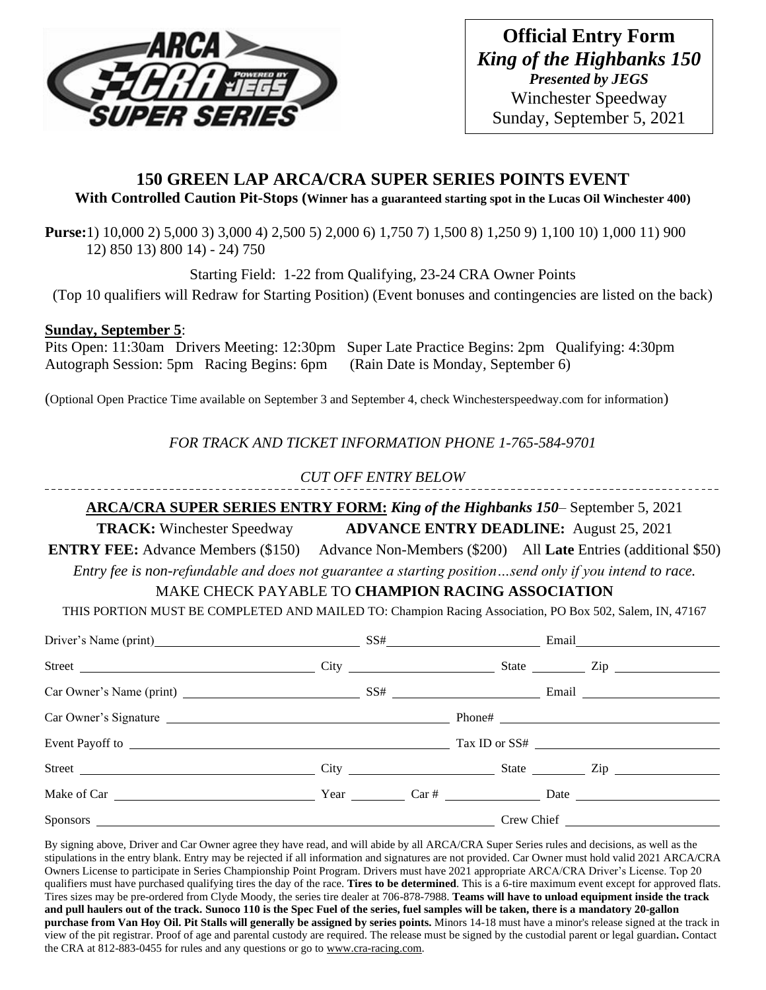

**Official Entry Form** *King of the Highbanks 150 Presented by JEGS* Winchester Speedway Sunday, September 5, 2021

# **150 GREEN LAP ARCA/CRA SUPER SERIES POINTS EVENT With Controlled Caution Pit-Stops (Winner has a guaranteed starting spot in the Lucas Oil Winchester 400)**

**Purse:**1) 10,000 2) 5,000 3) 3,000 4) 2,500 5) 2,000 6) 1,750 7) 1,500 8) 1,250 9) 1,100 10) 1,000 11) 900 12) 850 13) 800 14) - 24) 750

Starting Field: 1-22 from Qualifying, 23-24 CRA Owner Points

(Top 10 qualifiers will Redraw for Starting Position) (Event bonuses and contingencies are listed on the back)

## **Sunday, September 5**:

Pits Open: 11:30am Drivers Meeting: 12:30pm Super Late Practice Begins: 2pm Qualifying: 4:30pm Autograph Session: 5pm Racing Begins: 6pm (Rain Date is Monday, September 6)

(Optional Open Practice Time available on September 3 and September 4, check Winchesterspeedway.com for information)

*FOR TRACK AND TICKET INFORMATION PHONE 1-765-584-9701*

*CUT OFF ENTRY BELOW*

**ARCA/CRA SUPER SERIES ENTRY FORM:** *King of the Highbanks 150*– September 5, 2021

**TRACK:** Winchester Speedway **ADVANCE ENTRY DEADLINE:** August 25, 2021

**ENTRY FEE:** Advance Members (\$150) Advance Non-Members (\$200) All Late Entries (additional \$50) *Entry fee is non-refundable and does not guarantee a starting position…send only if you intend to race.*

# MAKE CHECK PAYABLE TO **CHAMPION RACING ASSOCIATION**

THIS PORTION MUST BE COMPLETED AND MAILED TO: Champion Racing Association, PO Box 502, Salem, IN, 47167

| Driver's Name (print) SS# Email Email |  |  |  |  |  |  |
|---------------------------------------|--|--|--|--|--|--|
|                                       |  |  |  |  |  |  |
|                                       |  |  |  |  |  |  |
|                                       |  |  |  |  |  |  |
|                                       |  |  |  |  |  |  |
|                                       |  |  |  |  |  |  |
|                                       |  |  |  |  |  |  |
|                                       |  |  |  |  |  |  |

By signing above, Driver and Car Owner agree they have read, and will abide by all ARCA/CRA Super Series rules and decisions, as well as the stipulations in the entry blank. Entry may be rejected if all information and signatures are not provided. Car Owner must hold valid 2021 ARCA/CRA Owners License to participate in Series Championship Point Program. Drivers must have 2021 appropriate ARCA/CRA Driver's License. Top 20 qualifiers must have purchased qualifying tires the day of the race. **Tires to be determined**. This is a 6-tire maximum event except for approved flats. Tires sizes may be pre-ordered from Clyde Moody, the series tire dealer at 706-878-7988. **Teams will have to unload equipment inside the track and pull haulers out of the track. Sunoco 110 is the Spec Fuel of the series, fuel samples will be taken, there is a mandatory 20-gallon purchase from Van Hoy Oil. Pit Stalls will generally be assigned by series points.** Minors 14-18 must have a minor's release signed at the track in view of the pit registrar. Proof of age and parental custody are required. The release must be signed by the custodial parent or legal guardian**.** Contact the CRA at 812-883-0455 for rules and any questions or go to [www.cra-racing.com.](http://www.cra-racing.com/)